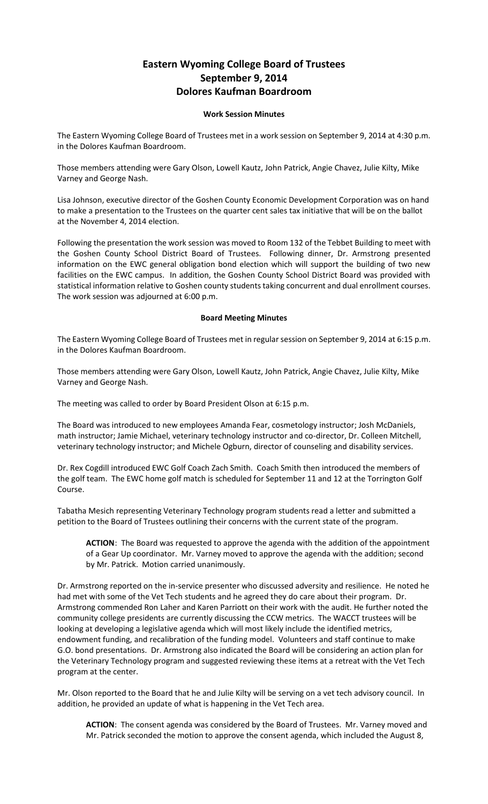## **Eastern Wyoming College Board of Trustees September 9, 2014 Dolores Kaufman Boardroom**

## **Work Session Minutes**

The Eastern Wyoming College Board of Trustees met in a work session on September 9, 2014 at 4:30 p.m. in the Dolores Kaufman Boardroom.

Those members attending were Gary Olson, Lowell Kautz, John Patrick, Angie Chavez, Julie Kilty, Mike Varney and George Nash.

Lisa Johnson, executive director of the Goshen County Economic Development Corporation was on hand to make a presentation to the Trustees on the quarter cent sales tax initiative that will be on the ballot at the November 4, 2014 election.

Following the presentation the work session was moved to Room 132 of the Tebbet Building to meet with the Goshen County School District Board of Trustees. Following dinner, Dr. Armstrong presented information on the EWC general obligation bond election which will support the building of two new facilities on the EWC campus. In addition, the Goshen County School District Board was provided with statistical information relative to Goshen county students taking concurrent and dual enrollment courses. The work session was adjourned at 6:00 p.m.

## **Board Meeting Minutes**

The Eastern Wyoming College Board of Trustees met in regular session on September 9, 2014 at 6:15 p.m. in the Dolores Kaufman Boardroom.

Those members attending were Gary Olson, Lowell Kautz, John Patrick, Angie Chavez, Julie Kilty, Mike Varney and George Nash.

The meeting was called to order by Board President Olson at 6:15 p.m.

The Board was introduced to new employees Amanda Fear, cosmetology instructor; Josh McDaniels, math instructor; Jamie Michael, veterinary technology instructor and co-director, Dr. Colleen Mitchell, veterinary technology instructor; and Michele Ogburn, director of counseling and disability services.

Dr. Rex Cogdill introduced EWC Golf Coach Zach Smith. Coach Smith then introduced the members of the golf team. The EWC home golf match is scheduled for September 11 and 12 at the Torrington Golf Course.

Tabatha Mesich representing Veterinary Technology program students read a letter and submitted a petition to the Board of Trustees outlining their concerns with the current state of the program.

**ACTION**: The Board was requested to approve the agenda with the addition of the appointment of a Gear Up coordinator. Mr. Varney moved to approve the agenda with the addition; second by Mr. Patrick. Motion carried unanimously.

Dr. Armstrong reported on the in-service presenter who discussed adversity and resilience. He noted he had met with some of the Vet Tech students and he agreed they do care about their program. Dr. Armstrong commended Ron Laher and Karen Parriott on their work with the audit. He further noted the community college presidents are currently discussing the CCW metrics. The WACCT trustees will be looking at developing a legislative agenda which will most likely include the identified metrics, endowment funding, and recalibration of the funding model. Volunteers and staff continue to make G.O. bond presentations. Dr. Armstrong also indicated the Board will be considering an action plan for the Veterinary Technology program and suggested reviewing these items at a retreat with the Vet Tech program at the center.

Mr. Olson reported to the Board that he and Julie Kilty will be serving on a vet tech advisory council. In addition, he provided an update of what is happening in the Vet Tech area.

**ACTION**: The consent agenda was considered by the Board of Trustees. Mr. Varney moved and Mr. Patrick seconded the motion to approve the consent agenda, which included the August 8,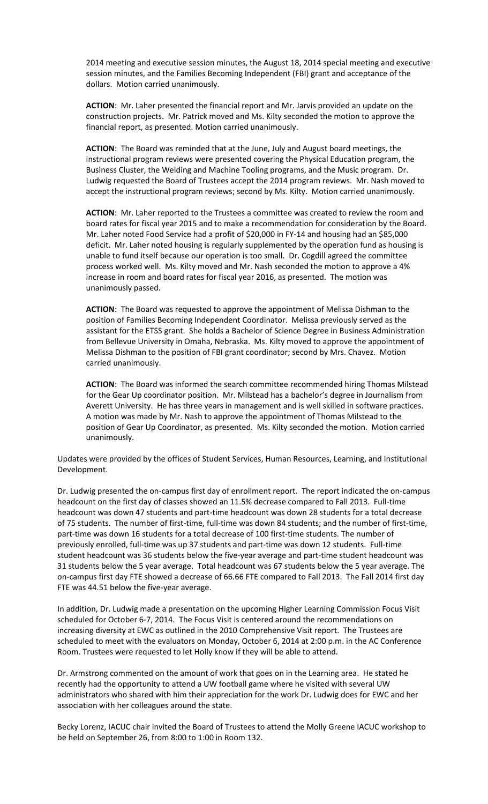2014 meeting and executive session minutes, the August 18, 2014 special meeting and executive session minutes, and the Families Becoming Independent (FBI) grant and acceptance of the dollars. Motion carried unanimously.

**ACTION**: Mr. Laher presented the financial report and Mr. Jarvis provided an update on the construction projects. Mr. Patrick moved and Ms. Kilty seconded the motion to approve the financial report, as presented. Motion carried unanimously.

**ACTION**: The Board was reminded that at the June, July and August board meetings, the instructional program reviews were presented covering the Physical Education program, the Business Cluster, the Welding and Machine Tooling programs, and the Music program. Dr. Ludwig requested the Board of Trustees accept the 2014 program reviews. Mr. Nash moved to accept the instructional program reviews; second by Ms. Kilty. Motion carried unanimously.

**ACTION**: Mr. Laher reported to the Trustees a committee was created to review the room and board rates for fiscal year 2015 and to make a recommendation for consideration by the Board. Mr. Laher noted Food Service had a profit of \$20,000 in FY-14 and housing had an \$85,000 deficit. Mr. Laher noted housing is regularly supplemented by the operation fund as housing is unable to fund itself because our operation is too small. Dr. Cogdill agreed the committee process worked well. Ms. Kilty moved and Mr. Nash seconded the motion to approve a 4% increase in room and board rates for fiscal year 2016, as presented. The motion was unanimously passed.

**ACTION**: The Board was requested to approve the appointment of Melissa Dishman to the position of Families Becoming Independent Coordinator. Melissa previously served as the assistant for the ETSS grant. She holds a Bachelor of Science Degree in Business Administration from Bellevue University in Omaha, Nebraska. Ms. Kilty moved to approve the appointment of Melissa Dishman to the position of FBI grant coordinator; second by Mrs. Chavez. Motion carried unanimously.

**ACTION**: The Board was informed the search committee recommended hiring Thomas Milstead for the Gear Up coordinator position. Mr. Milstead has a bachelor's degree in Journalism from Averett University. He has three years in management and is well skilled in software practices. A motion was made by Mr. Nash to approve the appointment of Thomas Milstead to the position of Gear Up Coordinator, as presented. Ms. Kilty seconded the motion. Motion carried unanimously.

Updates were provided by the offices of Student Services, Human Resources, Learning, and Institutional Development.

Dr. Ludwig presented the on-campus first day of enrollment report. The report indicated the on-campus headcount on the first day of classes showed an 11.5% decrease compared to Fall 2013. Full-time headcount was down 47 students and part-time headcount was down 28 students for a total decrease of 75 students. The number of first-time, full-time was down 84 students; and the number of first-time, part-time was down 16 students for a total decrease of 100 first-time students. The number of previously enrolled, full-time was up 37 students and part-time was down 12 students. Full-time student headcount was 36 students below the five-year average and part-time student headcount was 31 students below the 5 year average. Total headcount was 67 students below the 5 year average. The on-campus first day FTE showed a decrease of 66.66 FTE compared to Fall 2013. The Fall 2014 first day FTE was 44.51 below the five-year average.

In addition, Dr. Ludwig made a presentation on the upcoming Higher Learning Commission Focus Visit scheduled for October 6-7, 2014. The Focus Visit is centered around the recommendations on increasing diversity at EWC as outlined in the 2010 Comprehensive Visit report. The Trustees are scheduled to meet with the evaluators on Monday, October 6, 2014 at 2:00 p.m. in the AC Conference Room. Trustees were requested to let Holly know if they will be able to attend.

Dr. Armstrong commented on the amount of work that goes on in the Learning area. He stated he recently had the opportunity to attend a UW football game where he visited with several UW administrators who shared with him their appreciation for the work Dr. Ludwig does for EWC and her association with her colleagues around the state.

Becky Lorenz, IACUC chair invited the Board of Trustees to attend the Molly Greene IACUC workshop to be held on September 26, from 8:00 to 1:00 in Room 132.